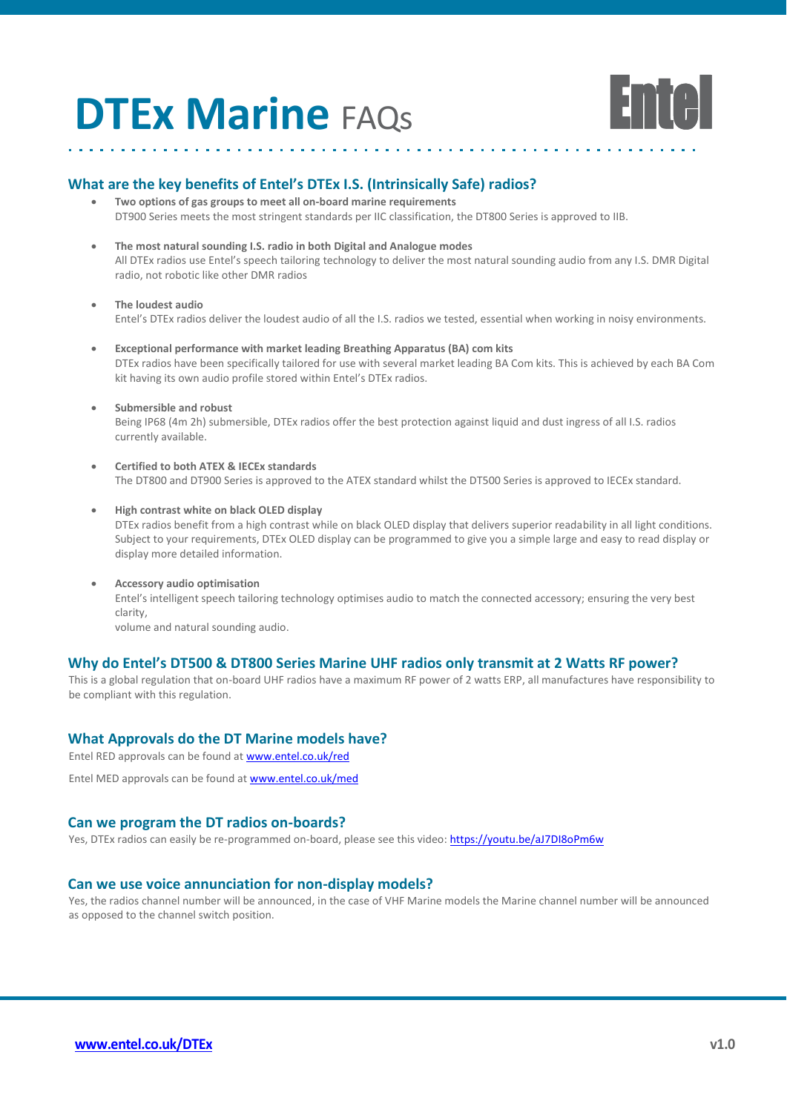# **DTEx Marine** FAQs



### **What are the key benefits of Entel's DTEx I.S. (Intrinsically Safe) radios?**

- **Two options of gas groups to meet all on-board marine requirements**  DT900 Series meets the most stringent standards per IIC classification, the DT800 Series is approved to IIB.
- **The most natural sounding I.S. radio in both Digital and Analogue modes** All DTEx radios use Entel's speech tailoring technology to deliver the most natural sounding audio from any I.S. DMR Digital radio, not robotic like other DMR radios
- **The loudest audio**

Entel's DTEx radios deliver the loudest audio of all the I.S. radios we tested, essential when working in noisy environments.

- **Exceptional performance with market leading Breathing Apparatus (BA) com kits** DTEx radios have been specifically tailored for use with several market leading BA Com kits. This is achieved by each BA Com kit having its own audio profile stored within Entel's DTEx radios.
	- **Submersible and robust** Being IP68 (4m 2h) submersible, DTEx radios offer the best protection against liquid and dust ingress of all I.S. radios currently available.
- **Certified to both ATEX & IECEx standards** The DT800 and DT900 Series is approved to the ATEX standard whilst the DT500 Series is approved to IECEx standard.
- **High contrast white on black OLED display** DTEx radios benefit from a high contrast while on black OLED display that delivers superior readability in all light conditions. Subject to your requirements, DTEx OLED display can be programmed to give you a simple large and easy to read display or display more detailed information.
- **Accessory audio optimisation** Entel's intelligent speech tailoring technology optimises audio to match the connected accessory; ensuring the very best clarity, volume and natural sounding audio.

### **Why do Entel's DT500 & DT800 Series Marine UHF radios only transmit at 2 Watts RF power?**

This is a global regulation that on-board UHF radios have a maximum RF power of 2 watts ERP, all manufactures have responsibility to be compliant with this regulation.

## **What Approvals do the DT Marine models have?**

Entel RED approvals can be found a[t www.entel.co.uk/red](http://www.entel.co.uk/red)

Entel MED approvals can be found a[t www.entel.co.uk/med](http://www.entel.co.uk/med)

#### **Can we program the DT radios on-boards?**

Yes, DTEx radios can easily be re-programmed on-board, please see this video[: https://youtu.be/aJ7DI8oPm6w](https://youtu.be/aJ7DI8oPm6w)

### **Can we use voice annunciation for non-display models?**

Yes, the radios channel number will be announced, in the case of VHF Marine models the Marine channel number will be announced as opposed to the channel switch position.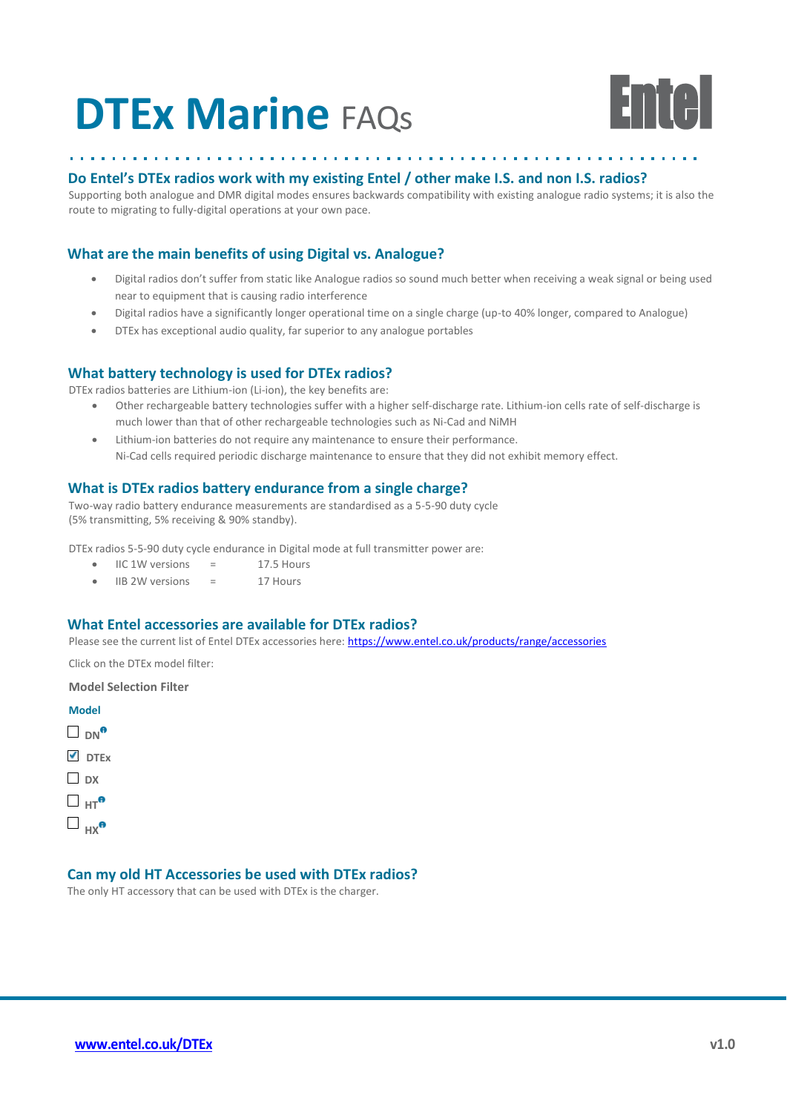# **DTEx Marine** FAQs



#### **Do Entel's DTEx radios work with my existing Entel / other make I.S. and non I.S. radios?**

Supporting both analogue and DMR digital modes ensures backwards compatibility with existing analogue radio systems; it is also the route to migrating to fully-digital operations at your own pace.

### **What are the main benefits of using Digital vs. Analogue?**

- Digital radios don't suffer from static like Analogue radios so sound much better when receiving a weak signal or being used near to equipment that is causing radio interference
- Digital radios have a significantly longer operational time on a single charge (up-to 40% longer, compared to Analogue)
- DTEx has exceptional audio quality, far superior to any analogue portables

#### **What battery technology is used for DTEx radios?**

DTEx radios batteries are Lithium-ion (Li-ion), the key benefits are:

- Other rechargeable battery technologies suffer with a higher self-discharge rate. Lithium-ion cells rate of self-discharge is much lower than that of other rechargeable technologies such as Ni-Cad and NiMH
- Lithium-ion batteries do not require any maintenance to ensure their performance. Ni-Cad cells required periodic discharge maintenance to ensure that they did not exhibit memory effect.

#### **What is DTEx radios battery endurance from a single charge?**

Two-way radio battery endurance measurements are standardised as a 5-5-90 duty cycle (5% transmitting, 5% receiving & 90% standby).

DTEx radios 5-5-90 duty cycle endurance in Digital mode at full transmitter power are:

- $\bullet$  IIC 1W versions = 17.5 Hours
- IIB 2W versions = 17 Hours

#### **What Entel accessories are available for DTEx radios?**

Please see the current list of Entel DTEx accessories here:<https://www.entel.co.uk/products/range/accessories>

Click on the DTEx model filter:

**Model Selection Filter**



### **Can my old HT Accessories be used with DTEx radios?**

The only HT accessory that can be used with DTEx is the charger.